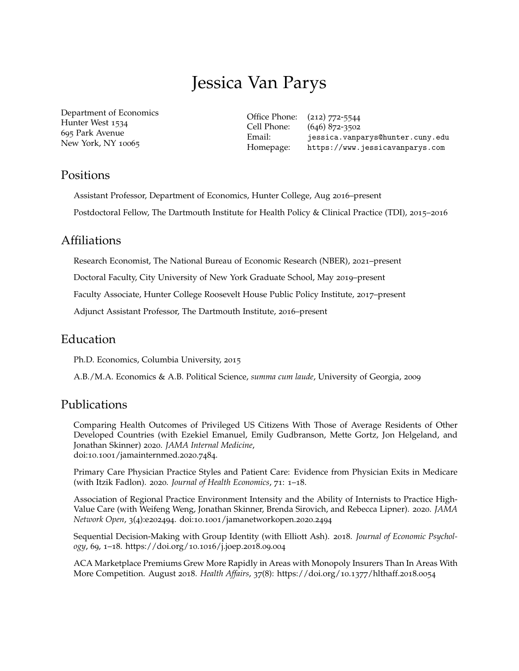# Jessica Van Parys

Department of Economics Hunter West 1534 695 Park Avenue New York, NY 10065

Office Phone: (212) 772-5544 Cell Phone: (646) 872-3502 Email: [jessica.vanparys@hunter.cuny.edu](mailto:jessica.vanparys@hunter.cuny.edu) Homepage: <https://www.jessicavanparys.com>

# Positions

Assistant Professor, Department of Economics, Hunter College, Aug 2016–present Postdoctoral Fellow, The Dartmouth Institute for Health Policy & Clinical Practice (TDI), 2015–2016

## Affiliations

Research Economist, The National Bureau of Economic Research (NBER), 2021–present

Doctoral Faculty, City University of New York Graduate School, May 2019–present

Faculty Associate, Hunter College Roosevelt House Public Policy Institute, 2017–present

Adjunct Assistant Professor, The Dartmouth Institute, 2016–present

# Education

Ph.D. Economics, Columbia University, 2015

A.B./M.A. Economics & A.B. Political Science, *summa cum laude*, University of Georgia, 2009

# Publications

Comparing Health Outcomes of Privileged US Citizens With Those of Average Residents of Other Developed Countries (with Ezekiel Emanuel, Emily Gudbranson, Mette Gortz, Jon Helgeland, and Jonathan Skinner) 2020. *JAMA Internal Medicine*, doi:10.1001[/jamainternmed.](doi:10.1001/jamainternmed.2020.7484)2020.7484.

Primary Care Physician Practice Styles and Patient Care: Evidence from Physician Exits in Medicare (with Itzik Fadlon). 2020. *Journal of Health Economics*, 71: 1–18.

Association of Regional Practice Environment Intensity and the Ability of Internists to Practice High-Value Care (with Weifeng Weng, Jonathan Skinner, Brenda Sirovich, and Rebecca Lipner). 2020. *JAMA Network Open*, 3(4):e202494. doi:10.1001[/jamanetworkopen.](doi:10.1001/jamanetworkopen.2020.2494)2020.2494

Sequential Decision-Making with Group Identity (with Elliott Ash). 2018. *Journal of Economic Psychology*, 69, 1–18. [https://doi.org/](https://doi.org/10.1016/j.joep.2018.09.004)10.1016/j.joep.2018.09.004

ACA Marketplace Premiums Grew More Rapidly in Areas with Monopoly Insurers Than In Areas With More Competition. August 2018. *Health Affairs*, 37(8): [https://doi.org/](https://doi.org/10.1377/hlthaff.2018.0054)10.1377/hlthaff.2018.0054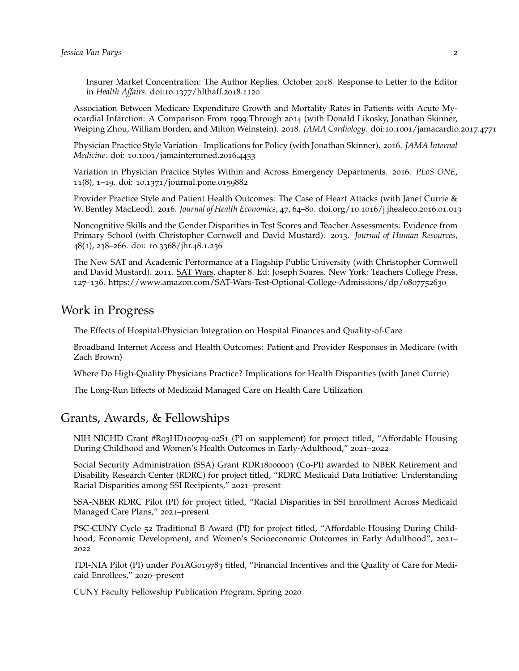Insurer Market Concentration: The Author Replies. October 2018. Response to Letter to the Editor in *Health Affairs*. doi:10.1377[/hlthaff.](doi: 10.1377/hlthaff.2018.1120)2018.1120

Association Between Medicare Expenditure Growth and Mortality Rates in Patients with Acute Myocardial Infarction: A Comparison From 1999 Through 2014 (with Donald Likosky, Jonathan Skinner, Weiping Zhou, William Borden, and Milton Weinstein). 2018. *JAMA Cardiology*. doi:10.1001[/jamacardio.](https://jamanetwork.com/journals/jamacardiology/article-abstract/2666629)2017.4771

Physician Practice Style Variation– Implications for Policy (with Jonathan Skinner). 2016. *JAMA Internal Medicine*. doi: 10.1001[/jamainternmed.](https://jamanetwork.com/journals/jamainternalmedicine/article-abstract/2543745)2016.4433

Variation in Physician Practice Styles Within and Across Emergency Departments. 2016. *PLoS ONE*, 11(8), 1–19. doi: 10.1371[/journal.pone.](http://journals.plos.org/plosone/article?id=10.1371/journal.pone.0159882)0159882

Provider Practice Style and Patient Health Outcomes: The Case of Heart Attacks (with Janet Currie & W. Bentley MacLeod). 2016. *Journal of Health Economics*, 47, 64–80. doi.org/10.1016[/j.jhealeco.](https://www.sciencedirect.com/science/article/abs/pii/S0167629616000308)2016.01.013

Noncognitive Skills and the Gender Disparities in Test Scores and Teacher Assessments: Evidence from Primary School (with Christopher Cornwell and David Mustard). 2013. *Journal of Human Resources*, 48(1), 238–266. doi: 10.3368[/jhr.](http://jhr.uwpress.org/content/48/1/236.abstract)48.1.236

The New SAT and Academic Performance at a Flagship Public University (with Christopher Cornwell and David Mustard). 2011. SAT Wars, chapter 8. Ed: Joseph Soares. New York: Teachers College Press, 127–136. [https://www.amazon.com/SAT-Wars-Test-Optional-College-Admissions/dp/](https://www.amazon.com/SAT-Wars-Test-Optional-College-Admissions/dp/0807752630)0807752630

## Work in Progress

The Effects of Hospital-Physician Integration on Hospital Finances and Quality-of-Care

Broadband Internet Access and Health Outcomes: Patient and Provider Responses in Medicare (with Zach Brown)

Where Do High-Quality Physicians Practice? Implications for Health Disparities (with Janet Currie)

The Long-Run Effects of Medicaid Managed Care on Health Care Utilization

# Grants, Awards, & Fellowships

NIH NICHD Grant #R03HD100709-02S1 (PI on supplement) for project titled, "Affordable Housing During Childhood and Women's Health Outcomes in Early-Adulthood," 2021–2022

Social Security Administration (SSA) Grant RDR18000003 (Co-PI) awarded to NBER Retirement and Disability Research Center (RDRC) for project titled, "RDRC Medicaid Data Initiative: Understanding Racial Disparities among SSI Recipients," 2021–present

SSA-NBER RDRC Pilot (PI) for project titled, "Racial Disparities in SSI Enrollment Across Medicaid Managed Care Plans," 2021–present

PSC-CUNY Cycle 52 Traditional B Award (PI) for project titled, "Affordable Housing During Childhood, Economic Development, and Women's Socioeconomic Outcomes in Early Adulthood", 2021– 2022

TDI-NIA Pilot (PI) under P01AG019783 titled, "Financial Incentives and the Quality of Care for Medicaid Enrollees," 2020–present

CUNY Faculty Fellowship Publication Program, Spring 2020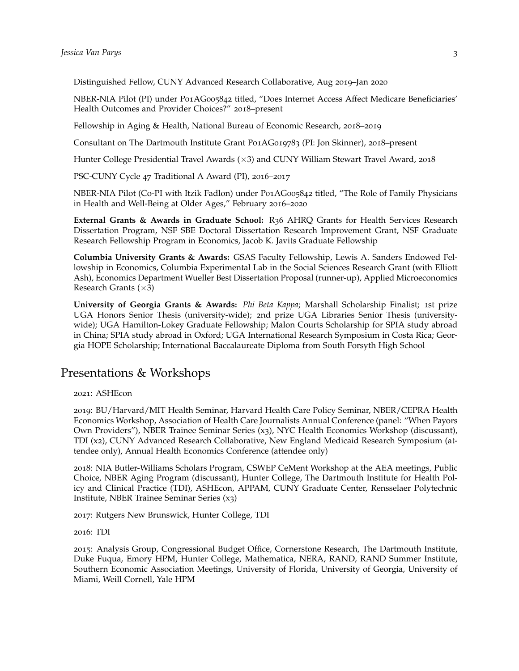Distinguished Fellow, CUNY Advanced Research Collaborative, Aug 2019–Jan 2020

NBER-NIA Pilot (PI) under P01AG005842 titled, "Does Internet Access Affect Medicare Beneficiaries' Health Outcomes and Provider Choices?" 2018–present

Fellowship in Aging & Health, National Bureau of Economic Research, 2018–2019

Consultant on The Dartmouth Institute Grant P01AG019783 (PI: Jon Skinner), 2018–present

Hunter College Presidential Travel Awards (×3) and CUNY William Stewart Travel Award, 2018

PSC-CUNY Cycle 47 Traditional A Award (PI), 2016–2017

NBER-NIA Pilot (Co-PI with Itzik Fadlon) under P01AG005842 titled, "The Role of Family Physicians in Health and Well-Being at Older Ages," February 2016–2020

**External Grants & Awards in Graduate School:** R36 AHRQ Grants for Health Services Research Dissertation Program, NSF SBE Doctoral Dissertation Research Improvement Grant, NSF Graduate Research Fellowship Program in Economics, Jacob K. Javits Graduate Fellowship

**Columbia University Grants & Awards:** GSAS Faculty Fellowship, Lewis A. Sanders Endowed Fellowship in Economics, Columbia Experimental Lab in the Social Sciences Research Grant (with Elliott Ash), Economics Department Wueller Best Dissertation Proposal (runner-up), Applied Microeconomics Research Grants  $(\times 3)$ 

**University of Georgia Grants & Awards:** *Phi Beta Kappa*; Marshall Scholarship Finalist; 1st prize UGA Honors Senior Thesis (university-wide); 2nd prize UGA Libraries Senior Thesis (universitywide); UGA Hamilton-Lokey Graduate Fellowship; Malon Courts Scholarship for SPIA study abroad in China; SPIA study abroad in Oxford; UGA International Research Symposium in Costa Rica; Georgia HOPE Scholarship; International Baccalaureate Diploma from South Forsyth High School

## Presentations & Workshops

2021: ASHEcon

2019: BU/Harvard/MIT Health Seminar, Harvard Health Care Policy Seminar, NBER/CEPRA Health Economics Workshop, Association of Health Care Journalists Annual Conference (panel: "When Payors Own Providers"), NBER Trainee Seminar Series (x3), NYC Health Economics Workshop (discussant), TDI (x2), CUNY Advanced Research Collaborative, New England Medicaid Research Symposium (attendee only), Annual Health Economics Conference (attendee only)

2018: NIA Butler-Williams Scholars Program, CSWEP CeMent Workshop at the AEA meetings, Public Choice, NBER Aging Program (discussant), Hunter College, The Dartmouth Institute for Health Policy and Clinical Practice (TDI), ASHEcon, APPAM, CUNY Graduate Center, Rensselaer Polytechnic Institute, NBER Trainee Seminar Series (x3)

2017: Rutgers New Brunswick, Hunter College, TDI

2016: TDI

2015: Analysis Group, Congressional Budget Office, Cornerstone Research, The Dartmouth Institute, Duke Fuqua, Emory HPM, Hunter College, Mathematica, NERA, RAND, RAND Summer Institute, Southern Economic Association Meetings, University of Florida, University of Georgia, University of Miami, Weill Cornell, Yale HPM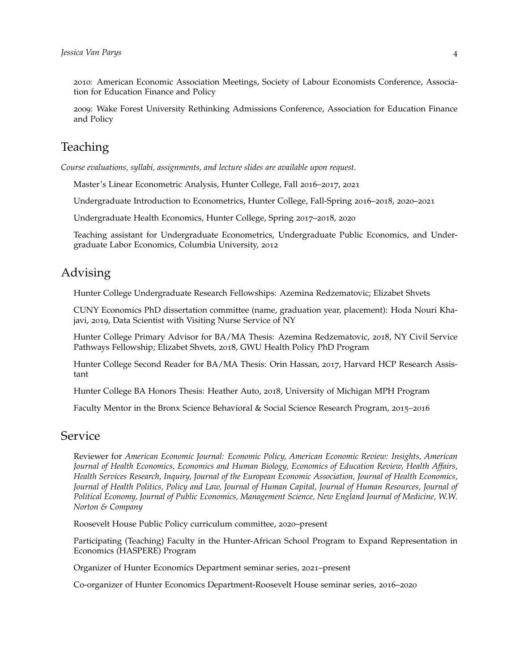2010: American Economic Association Meetings, Society of Labour Economists Conference, Association for Education Finance and Policy

2009: Wake Forest University Rethinking Admissions Conference, Association for Education Finance and Policy

# **Teaching**

*Course evaluations, syllabi, assignments, and lecture slides are available upon request.*

Master's Linear Econometric Analysis, Hunter College, Fall 2016–2017, 2021

Undergraduate Introduction to Econometrics, Hunter College, Fall-Spring 2016–2018, 2020–2021

Undergraduate Health Economics, Hunter College, Spring 2017–2018, 2020

Teaching assistant for Undergraduate Econometrics, Undergraduate Public Economics, and Undergraduate Labor Economics, Columbia University, 2012

#### Advising

Hunter College Undergraduate Research Fellowships: Azemina Redzematovic; Elizabet Shvets

CUNY Economics PhD dissertation committee (name, graduation year, placement): Hoda Nouri Khajavi, 2019, Data Scientist with Visiting Nurse Service of NY

Hunter College Primary Advisor for BA/MA Thesis: Azemina Redzematovic, 2018, NY Civil Service Pathways Fellowship; Elizabet Shvets, 2018, GWU Health Policy PhD Program

Hunter College Second Reader for BA/MA Thesis: Orin Hassan, 2017, Harvard HCP Research Assistant

Hunter College BA Honors Thesis: Heather Auto, 2018, University of Michigan MPH Program

Faculty Mentor in the Bronx Science Behavioral & Social Science Research Program, 2015–2016

### Service

Reviewer for *American Economic Journal: Economic Policy, American Economic Review: Insights, American Journal of Health Economics, Economics and Human Biology, Economics of Education Review, Health Affairs, Health Services Research, Inquiry, Journal of the European Economic Association, Journal of Health Economics, Journal of Health Politics, Policy and Law, Journal of Human Capital, Journal of Human Resources, Journal of Political Economy, Journal of Public Economics, Management Science, New England Journal of Medicine, W.W. Norton & Company*

Roosevelt House Public Policy curriculum committee, 2020–present

Participating (Teaching) Faculty in the Hunter-African School Program to Expand Representation in Economics (HASPERE) Program

Organizer of Hunter Economics Department seminar series, 2021–present

Co-organizer of Hunter Economics Department-Roosevelt House seminar series, 2016–2020